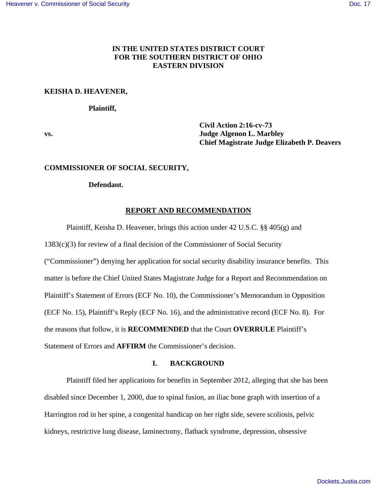# **IN THE UNITED STATES DISTRICT COURT FOR THE SOUTHERN DISTRICT OF OHIO EASTERN DIVISION**

### **KEISHA D. HEAVENER,**

### **Plaintiff,**

 **Civil Action 2:16-cv-73 vs. Judge Algenon L. Marbley Chief Magistrate Judge Elizabeth P. Deavers** 

### **COMMISSIONER OF SOCIAL SECURITY,**

#### **Defendant.**

## **REPORT AND RECOMMENDATION**

Plaintiff, Keisha D. Heavener, brings this action under 42 U.S.C. §§ 405(g) and

1383(c)(3) for review of a final decision of the Commissioner of Social Security ("Commissioner") denying her application for social security disability insurance benefits. This matter is before the Chief United States Magistrate Judge for a Report and Recommendation on Plaintiff's Statement of Errors (ECF No. 10), the Commissioner's Memorandum in Opposition (ECF No. 15), Plaintiff's Reply (ECF No. 16), and the administrative record (ECF No. 8). For the reasons that follow, it is **RECOMMENDED** that the Court **OVERRULE** Plaintiff's Statement of Errors and **AFFIRM** the Commissioner's decision.

# **I. BACKGROUND**

 Plaintiff filed her applications for benefits in September 2012, alleging that she has been disabled since December 1, 2000, due to spinal fusion, an iliac bone graph with insertion of a Harrington rod in her spine, a congenital handicap on her right side, severe scoliosis, pelvic kidneys, restrictive lung disease, laminectomy, flatback syndrome, depression, obsessive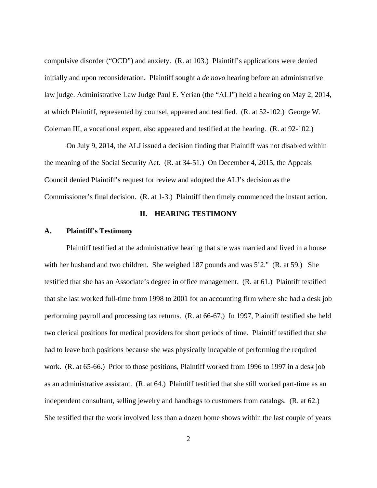compulsive disorder ("OCD") and anxiety. (R. at 103.) Plaintiff's applications were denied initially and upon reconsideration. Plaintiff sought a *de novo* hearing before an administrative law judge. Administrative Law Judge Paul E. Yerian (the "ALJ") held a hearing on May 2, 2014, at which Plaintiff, represented by counsel, appeared and testified. (R. at 52-102.) George W. Coleman III, a vocational expert, also appeared and testified at the hearing. (R. at 92-102.)

 On July 9, 2014, the ALJ issued a decision finding that Plaintiff was not disabled within the meaning of the Social Security Act. (R. at 34-51.) On December 4, 2015, the Appeals Council denied Plaintiff's request for review and adopted the ALJ's decision as the Commissioner's final decision. (R. at 1-3.) Plaintiff then timely commenced the instant action.

## **II. HEARING TESTIMONY**

#### **A. Plaintiff's Testimony**

 Plaintiff testified at the administrative hearing that she was married and lived in a house with her husband and two children. She weighed 187 pounds and was 5'2." (R. at 59.) She testified that she has an Associate's degree in office management. (R. at 61.) Plaintiff testified that she last worked full-time from 1998 to 2001 for an accounting firm where she had a desk job performing payroll and processing tax returns. (R. at 66-67.) In 1997, Plaintiff testified she held two clerical positions for medical providers for short periods of time. Plaintiff testified that she had to leave both positions because she was physically incapable of performing the required work. (R. at 65-66.) Prior to those positions, Plaintiff worked from 1996 to 1997 in a desk job as an administrative assistant. (R. at 64.) Plaintiff testified that she still worked part-time as an independent consultant, selling jewelry and handbags to customers from catalogs. (R. at 62.) She testified that the work involved less than a dozen home shows within the last couple of years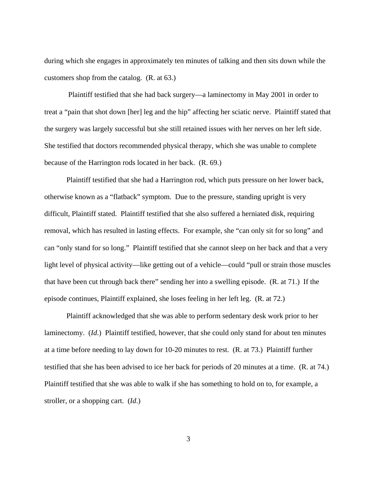during which she engages in approximately ten minutes of talking and then sits down while the customers shop from the catalog. (R. at 63.)

 Plaintiff testified that she had back surgery—a laminectomy in May 2001 in order to treat a "pain that shot down [her] leg and the hip" affecting her sciatic nerve. Plaintiff stated that the surgery was largely successful but she still retained issues with her nerves on her left side. She testified that doctors recommended physical therapy, which she was unable to complete because of the Harrington rods located in her back. (R. 69.)

 Plaintiff testified that she had a Harrington rod, which puts pressure on her lower back, otherwise known as a "flatback" symptom. Due to the pressure, standing upright is very difficult, Plaintiff stated. Plaintiff testified that she also suffered a herniated disk, requiring removal, which has resulted in lasting effects. For example, she "can only sit for so long" and can "only stand for so long." Plaintiff testified that she cannot sleep on her back and that a very light level of physical activity—like getting out of a vehicle—could "pull or strain those muscles that have been cut through back there" sending her into a swelling episode. (R. at 71.) If the episode continues, Plaintiff explained, she loses feeling in her left leg. (R. at 72.)

 Plaintiff acknowledged that she was able to perform sedentary desk work prior to her laminectomy. (*Id*.) Plaintiff testified, however, that she could only stand for about ten minutes at a time before needing to lay down for 10-20 minutes to rest. (R. at 73.) Plaintiff further testified that she has been advised to ice her back for periods of 20 minutes at a time. (R. at 74.) Plaintiff testified that she was able to walk if she has something to hold on to, for example, a stroller, or a shopping cart. (*Id*.)

3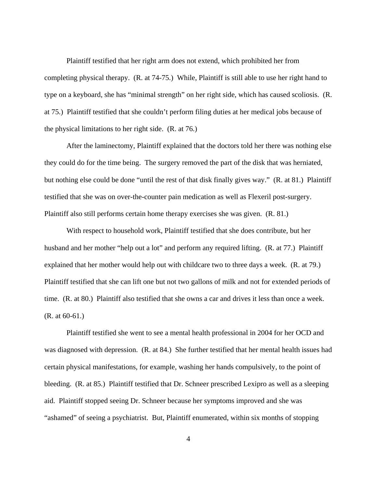Plaintiff testified that her right arm does not extend, which prohibited her from completing physical therapy. (R. at 74-75.) While, Plaintiff is still able to use her right hand to type on a keyboard, she has "minimal strength" on her right side, which has caused scoliosis. (R. at 75.) Plaintiff testified that she couldn't perform filing duties at her medical jobs because of the physical limitations to her right side. (R. at 76.)

 After the laminectomy, Plaintiff explained that the doctors told her there was nothing else they could do for the time being. The surgery removed the part of the disk that was herniated, but nothing else could be done "until the rest of that disk finally gives way." (R. at 81.) Plaintiff testified that she was on over-the-counter pain medication as well as Flexeril post-surgery. Plaintiff also still performs certain home therapy exercises she was given. (R. 81.)

 With respect to household work, Plaintiff testified that she does contribute, but her husband and her mother "help out a lot" and perform any required lifting. (R. at 77.) Plaintiff explained that her mother would help out with childcare two to three days a week. (R. at 79.) Plaintiff testified that she can lift one but not two gallons of milk and not for extended periods of time. (R. at 80.) Plaintiff also testified that she owns a car and drives it less than once a week. (R. at 60-61.)

 Plaintiff testified she went to see a mental health professional in 2004 for her OCD and was diagnosed with depression. (R. at 84.) She further testified that her mental health issues had certain physical manifestations, for example, washing her hands compulsively, to the point of bleeding. (R. at 85.) Plaintiff testified that Dr. Schneer prescribed Lexipro as well as a sleeping aid. Plaintiff stopped seeing Dr. Schneer because her symptoms improved and she was "ashamed" of seeing a psychiatrist. But, Plaintiff enumerated, within six months of stopping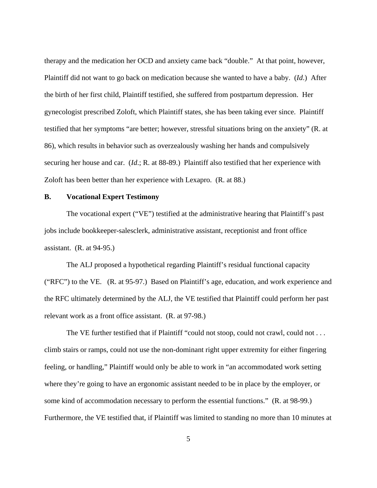therapy and the medication her OCD and anxiety came back "double." At that point, however, Plaintiff did not want to go back on medication because she wanted to have a baby. (*Id*.) After the birth of her first child, Plaintiff testified, she suffered from postpartum depression. Her gynecologist prescribed Zoloft, which Plaintiff states, she has been taking ever since. Plaintiff testified that her symptoms "are better; however, stressful situations bring on the anxiety" (R. at 86), which results in behavior such as overzealously washing her hands and compulsively securing her house and car. (*Id*.; R. at 88-89.) Plaintiff also testified that her experience with Zoloft has been better than her experience with Lexapro. (R. at 88.)

#### **B. Vocational Expert Testimony**

 The vocational expert ("VE") testified at the administrative hearing that Plaintiff's past jobs include bookkeeper-salesclerk, administrative assistant, receptionist and front office assistant. (R. at 94-95.)

 The ALJ proposed a hypothetical regarding Plaintiff's residual functional capacity ("RFC") to the VE. (R. at 95-97.) Based on Plaintiff's age, education, and work experience and the RFC ultimately determined by the ALJ, the VE testified that Plaintiff could perform her past relevant work as a front office assistant. (R. at 97-98.)

The VE further testified that if Plaintiff "could not stoop, could not crawl, could not . . . climb stairs or ramps, could not use the non-dominant right upper extremity for either fingering feeling, or handling," Plaintiff would only be able to work in "an accommodated work setting where they're going to have an ergonomic assistant needed to be in place by the employer, or some kind of accommodation necessary to perform the essential functions." (R. at 98-99.) Furthermore, the VE testified that, if Plaintiff was limited to standing no more than 10 minutes at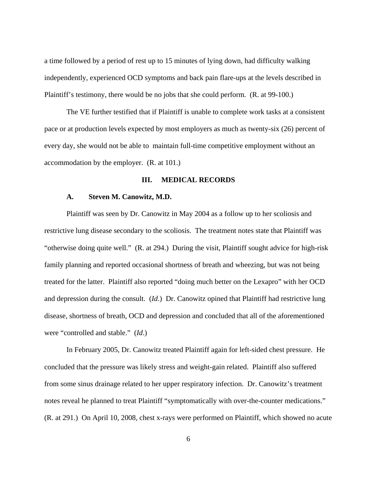a time followed by a period of rest up to 15 minutes of lying down, had difficulty walking independently, experienced OCD symptoms and back pain flare-ups at the levels described in Plaintiff's testimony, there would be no jobs that she could perform. (R. at 99-100.)

 The VE further testified that if Plaintiff is unable to complete work tasks at a consistent pace or at production levels expected by most employers as much as twenty-six (26) percent of every day, she would not be able to maintain full-time competitive employment without an accommodation by the employer. (R. at 101.)

## **III. MEDICAL RECORDS**

#### **A. Steven M. Canowitz, M.D.**

 Plaintiff was seen by Dr. Canowitz in May 2004 as a follow up to her scoliosis and restrictive lung disease secondary to the scoliosis. The treatment notes state that Plaintiff was "otherwise doing quite well." (R. at 294.) During the visit, Plaintiff sought advice for high-risk family planning and reported occasional shortness of breath and wheezing, but was not being treated for the latter. Plaintiff also reported "doing much better on the Lexapro" with her OCD and depression during the consult. (*Id*.) Dr. Canowitz opined that Plaintiff had restrictive lung disease, shortness of breath, OCD and depression and concluded that all of the aforementioned were "controlled and stable." (*Id*.)

 In February 2005, Dr. Canowitz treated Plaintiff again for left-sided chest pressure. He concluded that the pressure was likely stress and weight-gain related. Plaintiff also suffered from some sinus drainage related to her upper respiratory infection. Dr. Canowitz's treatment notes reveal he planned to treat Plaintiff "symptomatically with over-the-counter medications." (R. at 291.) On April 10, 2008, chest x-rays were performed on Plaintiff, which showed no acute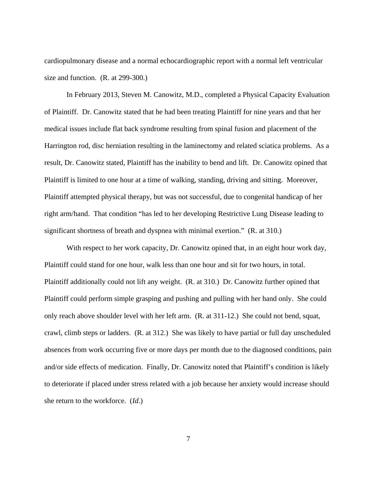cardiopulmonary disease and a normal echocardiographic report with a normal left ventricular size and function. (R. at 299-300.)

 In February 2013, Steven M. Canowitz, M.D., completed a Physical Capacity Evaluation of Plaintiff. Dr. Canowitz stated that he had been treating Plaintiff for nine years and that her medical issues include flat back syndrome resulting from spinal fusion and placement of the Harrington rod, disc herniation resulting in the laminectomy and related sciatica problems. As a result, Dr. Canowitz stated, Plaintiff has the inability to bend and lift. Dr. Canowitz opined that Plaintiff is limited to one hour at a time of walking, standing, driving and sitting. Moreover, Plaintiff attempted physical therapy, but was not successful, due to congenital handicap of her right arm/hand. That condition "has led to her developing Restrictive Lung Disease leading to significant shortness of breath and dyspnea with minimal exertion." (R. at 310.)

With respect to her work capacity, Dr. Canowitz opined that, in an eight hour work day, Plaintiff could stand for one hour, walk less than one hour and sit for two hours, in total. Plaintiff additionally could not lift any weight. (R. at 310.) Dr. Canowitz further opined that Plaintiff could perform simple grasping and pushing and pulling with her hand only. She could only reach above shoulder level with her left arm. (R. at 311-12.) She could not bend, squat, crawl, climb steps or ladders. (R. at 312.) She was likely to have partial or full day unscheduled absences from work occurring five or more days per month due to the diagnosed conditions, pain and/or side effects of medication. Finally, Dr. Canowitz noted that Plaintiff's condition is likely to deteriorate if placed under stress related with a job because her anxiety would increase should she return to the workforce. (*Id*.)

7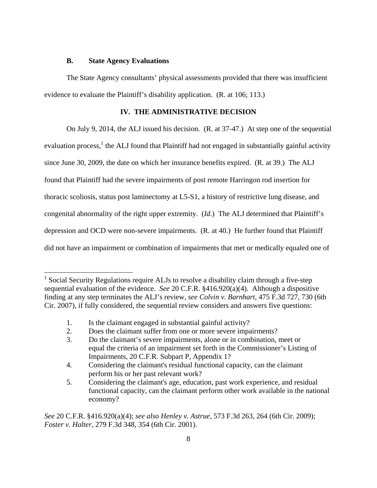## **B. State Agency Evaluations**

 $\overline{a}$ 

The State Agency consultants' physical assessments provided that there was insufficient evidence to evaluate the Plaintiff's disability application. (R. at 106; 113.)

# **IV. THE ADMINISTRATIVE DECISION**

 On July 9, 2014, the ALJ issued his decision. (R. at 37-47.) At step one of the sequential evaluation process,<sup>1</sup> the ALJ found that Plaintiff had not engaged in substantially gainful activity since June 30, 2009, the date on which her insurance benefits expired. (R. at 39.) The ALJ found that Plaintiff had the severe impairments of post remote Harringon rod insertion for thoracic scoliosis, status post laminectomy at L5-S1, a history of restrictive lung disease, and congenital abnormality of the right upper extremity. (*Id.*) The ALJ determined that Plaintiff's depression and OCD were non-severe impairments. (R. at 40.) He further found that Plaintiff did not have an impairment or combination of impairments that met or medically equaled one of

<sup>&</sup>lt;sup>1</sup> Social Security Regulations require ALJs to resolve a disability claim through a five-step sequential evaluation of the evidence. *See* 20 C.F.R. §416.920(a)(4). Although a dispositive finding at any step terminates the ALJ's review, *see Colvin v. Barnhart*, 475 F.3d 727, 730 (6th Cir. 2007), if fully considered, the sequential review considers and answers five questions:

 <sup>1.</sup> Is the claimant engaged in substantial gainful activity?

 <sup>2.</sup> Does the claimant suffer from one or more severe impairments?

 <sup>3.</sup> Do the claimant's severe impairments, alone or in combination, meet or equal the criteria of an impairment set forth in the Commissioner's Listing of Impairments, 20 C.F.R. Subpart P, Appendix 1?

 <sup>4.</sup> Considering the claimant's residual functional capacity, can the claimant perform his or her past relevant work?

 <sup>5.</sup> Considering the claimant's age, education, past work experience, and residual functional capacity, can the claimant perform other work available in the national economy?

*See* 20 C.F.R. §416.920(a)(4); *see also Henley v. Astrue*, 573 F.3d 263, 264 (6th Cir. 2009); *Foster v. Halter*, 279 F.3d 348, 354 (6th Cir. 2001).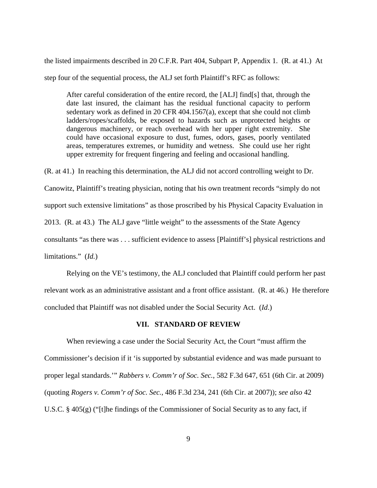the listed impairments described in 20 C.F.R. Part 404, Subpart P, Appendix 1. (R. at 41.) At step four of the sequential process, the ALJ set forth Plaintiff's RFC as follows:

After careful consideration of the entire record, the [ALJ] find[s] that, through the date last insured, the claimant has the residual functional capacity to perform sedentary work as defined in 20 CFR 404.1567(a), except that she could not climb ladders/ropes/scaffolds, be exposed to hazards such as unprotected heights or dangerous machinery, or reach overhead with her upper right extremity. She could have occasional exposure to dust, fumes, odors, gases, poorly ventilated areas, temperatures extremes, or humidity and wetness. She could use her right upper extremity for frequent fingering and feeling and occasional handling.

(R. at 41.) In reaching this determination, the ALJ did not accord controlling weight to Dr.

Canowitz, Plaintiff's treating physician, noting that his own treatment records "simply do not

support such extensive limitations" as those proscribed by his Physical Capacity Evaluation in

2013. (R. at 43.) The ALJ gave "little weight" to the assessments of the State Agency

consultants "as there was . . . sufficient evidence to assess [Plaintiff's] physical restrictions and

limitations." (*Id.*)

 Relying on the VE's testimony, the ALJ concluded that Plaintiff could perform her past relevant work as an administrative assistant and a front office assistant. (R. at 46.) He therefore concluded that Plaintiff was not disabled under the Social Security Act. (*Id*.)

#### **VII. STANDARD OF REVIEW**

When reviewing a case under the Social Security Act, the Court "must affirm the Commissioner's decision if it 'is supported by substantial evidence and was made pursuant to proper legal standards.'" *Rabbers v. Comm'r of Soc. Sec.*, 582 F.3d 647, 651 (6th Cir. at 2009) (quoting *Rogers v. Comm'r of Soc. Sec.*, 486 F.3d 234, 241 (6th Cir. at 2007)); *see also* 42 U.S.C. § 405(g) ("[t]he findings of the Commissioner of Social Security as to any fact, if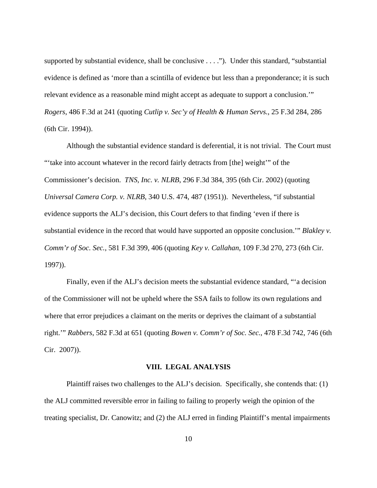supported by substantial evidence, shall be conclusive . . . ."). Under this standard, "substantial evidence is defined as 'more than a scintilla of evidence but less than a preponderance; it is such relevant evidence as a reasonable mind might accept as adequate to support a conclusion.'" *Rogers*, 486 F.3d at 241 (quoting *Cutlip v. Sec'y of Health & Human Servs.*, 25 F.3d 284, 286 (6th Cir. 1994)).

 Although the substantial evidence standard is deferential, it is not trivial. The Court must "take into account whatever in the record fairly detracts from [the] weight" of the Commissioner's decision. *TNS, Inc. v. NLRB*, 296 F.3d 384, 395 (6th Cir. 2002) (quoting *Universal Camera Corp. v. NLRB*, 340 U.S. 474, 487 (1951)). Nevertheless, "if substantial evidence supports the ALJ's decision, this Court defers to that finding 'even if there is substantial evidence in the record that would have supported an opposite conclusion.'" *Blakley v. Comm'r of Soc. Sec.*, 581 F.3d 399, 406 (quoting *Key v. Callahan*, 109 F.3d 270, 273 (6th Cir. 1997)).

 Finally, even if the ALJ's decision meets the substantial evidence standard, "'a decision of the Commissioner will not be upheld where the SSA fails to follow its own regulations and where that error prejudices a claimant on the merits or deprives the claimant of a substantial right.'" *Rabbers*, 582 F.3d at 651 (quoting *Bowen v. Comm'r of Soc. Sec.*, 478 F.3d 742, 746 (6th Cir. 2007)).

#### **VIII. LEGAL ANALYSIS**

 Plaintiff raises two challenges to the ALJ's decision. Specifically, she contends that: (1) the ALJ committed reversible error in failing to failing to properly weigh the opinion of the treating specialist, Dr. Canowitz; and (2) the ALJ erred in finding Plaintiff's mental impairments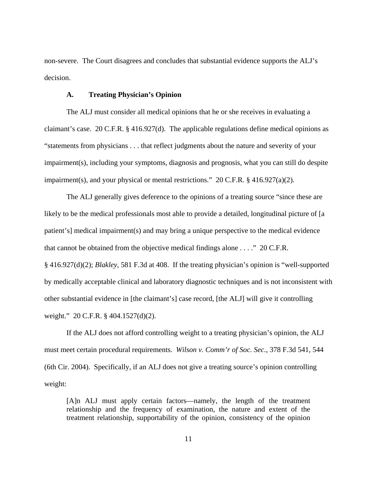non-severe. The Court disagrees and concludes that substantial evidence supports the ALJ's decision.

## **A. Treating Physician's Opinion**

 The ALJ must consider all medical opinions that he or she receives in evaluating a claimant's case. 20 C.F.R. § 416.927(d). The applicable regulations define medical opinions as "statements from physicians . . . that reflect judgments about the nature and severity of your impairment(s), including your symptoms, diagnosis and prognosis, what you can still do despite impairment(s), and your physical or mental restrictions."  $20 \text{ C.F.R.}$  § 416.927(a)(2).

 The ALJ generally gives deference to the opinions of a treating source "since these are likely to be the medical professionals most able to provide a detailed, longitudinal picture of [a] patient's] medical impairment(s) and may bring a unique perspective to the medical evidence that cannot be obtained from the objective medical findings alone . . . ." 20 C.F.R. § 416.927(d)(2); *Blakley*, 581 F.3d at 408. If the treating physician's opinion is "well-supported by medically acceptable clinical and laboratory diagnostic techniques and is not inconsistent with other substantial evidence in [the claimant's] case record, [the ALJ] will give it controlling weight." 20 C.F.R. § 404.1527(d)(2).

 If the ALJ does not afford controlling weight to a treating physician's opinion, the ALJ must meet certain procedural requirements. *Wilson v. Comm'r of Soc. Sec.*, 378 F.3d 541, 544 (6th Cir. 2004). Specifically, if an ALJ does not give a treating source's opinion controlling weight:

[A]n ALJ must apply certain factors—namely, the length of the treatment relationship and the frequency of examination, the nature and extent of the treatment relationship, supportability of the opinion, consistency of the opinion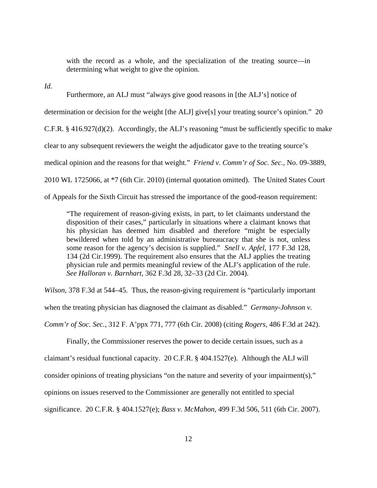with the record as a whole, and the specialization of the treating source—in determining what weight to give the opinion.

*Id.*

 Furthermore, an ALJ must "always give good reasons in [the ALJ's] notice of determination or decision for the weight [the ALJ] give[s] your treating source's opinion." 20 C.F.R. § 416.927(d)(2). Accordingly, the ALJ's reasoning "must be sufficiently specific to make clear to any subsequent reviewers the weight the adjudicator gave to the treating source's medical opinion and the reasons for that weight." *Friend v. Comm'r of Soc. Sec.*, No. 09-3889, 2010 WL 1725066, at \*7 (6th Cir. 2010) (internal quotation omitted). The United States Court of Appeals for the Sixth Circuit has stressed the importance of the good-reason requirement:

"The requirement of reason-giving exists, in part, to let claimants understand the disposition of their cases," particularly in situations where a claimant knows that his physician has deemed him disabled and therefore "might be especially bewildered when told by an administrative bureaucracy that she is not, unless some reason for the agency's decision is supplied." *Snell v. Apfel*, 177 F.3d 128, 134 (2d Cir.1999). The requirement also ensures that the ALJ applies the treating physician rule and permits meaningful review of the ALJ's application of the rule. *See Halloran v. Barnhart*, 362 F.3d 28, 32–33 (2d Cir. 2004).

*Wilson*, 378 F.3d at 544–45. Thus, the reason-giving requirement is "particularly important when the treating physician has diagnosed the claimant as disabled." *Germany-Johnson v. Comm'r of Soc. Sec.*, 312 F. A'ppx 771, 777 (6th Cir. 2008) (citing *Rogers*, 486 F.3d at 242).

 Finally, the Commissioner reserves the power to decide certain issues, such as a claimant's residual functional capacity. 20 C.F.R. § 404.1527(e). Although the ALJ will consider opinions of treating physicians "on the nature and severity of your impairment(s)," opinions on issues reserved to the Commissioner are generally not entitled to special significance. 20 C.F.R. § 404.1527(e); *Bass v. McMahon*, 499 F.3d 506, 511 (6th Cir. 2007).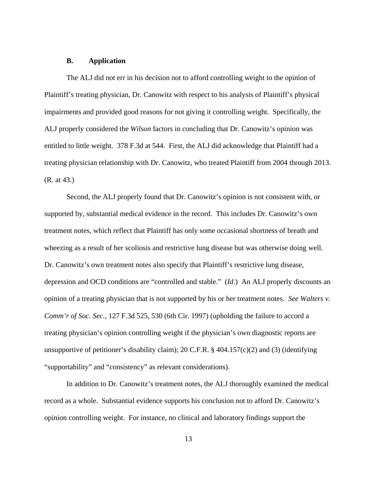## **B. Application**

The ALJ did not err in his decision not to afford controlling weight to the opinion of Plaintiff's treating physician, Dr. Canowitz with respect to his analysis of Plaintiff's physical impairments and provided good reasons for not giving it controlling weight. Specifically, the ALJ properly considered the *Wilson* factors in concluding that Dr. Canowitz's opinion was entitled to little weight. 378 F.3d at 544. First, the ALJ did acknowledge that Plaintiff had a treating physician relationship with Dr. Canowitz, who treated Plaintiff from 2004 through 2013. (R. at 43.)

 Second, the ALJ properly found that Dr. Canowitz's opinion is not consistent with, or supported by, substantial medical evidence in the record. This includes Dr. Canowitz's own treatment notes, which reflect that Plaintiff has only some occasional shortness of breath and wheezing as a result of her scoliosis and restrictive lung disease but was otherwise doing well. Dr. Canowitz's own treatment notes also specify that Plaintiff's restrictive lung disease, depression and OCD conditions are "controlled and stable." (*Id*.) An ALJ properly discounts an opinion of a treating physician that is not supported by his or her treatment notes. *See Walters v. Comm'r of Soc. Sec.*, 127 F.3d 525, 530 (6th Cir. 1997) (upholding the failure to accord a treating physician's opinion controlling weight if the physician's own diagnostic reports are unsupportive of petitioner's disability claim); 20 C.F.R.  $\S$  404.157(c)(2) and (3) (identifying "supportability" and "consistency" as relevant considerations).

In addition to Dr. Canowitz's treatment notes, the ALJ thoroughly examined the medical record as a whole. Substantial evidence supports his conclusion not to afford Dr. Canowitz's opinion controlling weight. For instance, no clinical and laboratory findings support the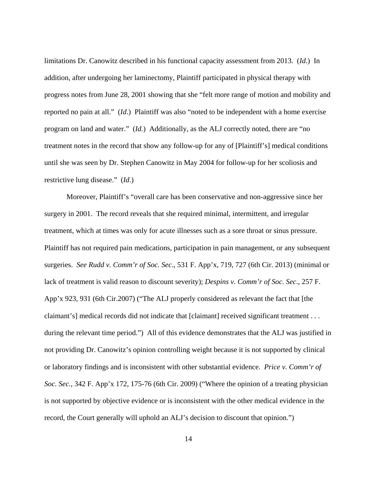limitations Dr. Canowitz described in his functional capacity assessment from 2013. (*Id*.) In addition, after undergoing her laminectomy, Plaintiff participated in physical therapy with progress notes from June 28, 2001 showing that she "felt more range of motion and mobility and reported no pain at all." (*Id*.) Plaintiff was also "noted to be independent with a home exercise program on land and water." (*Id.*) Additionally, as the ALJ correctly noted, there are "no treatment notes in the record that show any follow-up for any of [Plaintiff's] medical conditions until she was seen by Dr. Stephen Canowitz in May 2004 for follow-up for her scoliosis and restrictive lung disease." (*Id*.)

 Moreover, Plaintiff's "overall care has been conservative and non-aggressive since her surgery in 2001. The record reveals that she required minimal, intermittent, and irregular treatment, which at times was only for acute illnesses such as a sore throat or sinus pressure. Plaintiff has not required pain medications, participation in pain management, or any subsequent surgeries. *See Rudd v. Comm'r of Soc. Sec*., 531 F. App'x, 719, 727 (6th Cir. 2013) (minimal or lack of treatment is valid reason to discount severity); *Despins v. Comm'r of Soc. Sec*., 257 F. App'x 923, 931 (6th Cir.2007) ("The ALJ properly considered as relevant the fact that [the claimant's] medical records did not indicate that [claimant] received significant treatment . . . during the relevant time period.") All of this evidence demonstrates that the ALJ was justified in not providing Dr. Canowitz's opinion controlling weight because it is not supported by clinical or laboratory findings and is inconsistent with other substantial evidence. *Price v. Comm'r of Soc. Sec.*, 342 F. App'x 172, 175-76 (6th Cir. 2009) ("Where the opinion of a treating physician is not supported by objective evidence or is inconsistent with the other medical evidence in the record, the Court generally will uphold an ALJ's decision to discount that opinion.")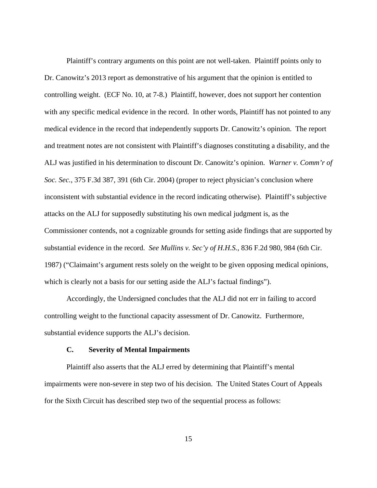Plaintiff's contrary arguments on this point are not well-taken. Plaintiff points only to Dr. Canowitz's 2013 report as demonstrative of his argument that the opinion is entitled to controlling weight. (ECF No. 10, at 7-8.) Plaintiff, however, does not support her contention with any specific medical evidence in the record. In other words, Plaintiff has not pointed to any medical evidence in the record that independently supports Dr. Canowitz's opinion. The report and treatment notes are not consistent with Plaintiff's diagnoses constituting a disability, and the ALJ was justified in his determination to discount Dr. Canowitz's opinion. *Warner v. Comm'r of Soc. Sec.*, 375 F.3d 387, 391 (6th Cir. 2004) (proper to reject physician's conclusion where inconsistent with substantial evidence in the record indicating otherwise). Plaintiff's subjective attacks on the ALJ for supposedly substituting his own medical judgment is, as the Commissioner contends, not a cognizable grounds for setting aside findings that are supported by substantial evidence in the record. *See Mullins v. Sec'y of H.H.S.*, 836 F.2d 980, 984 (6th Cir. 1987) ("Claimaint's argument rests solely on the weight to be given opposing medical opinions, which is clearly not a basis for our setting aside the ALJ's factual findings").

Accordingly, the Undersigned concludes that the ALJ did not err in failing to accord controlling weight to the functional capacity assessment of Dr. Canowitz. Furthermore, substantial evidence supports the ALJ's decision.

#### **C. Severity of Mental Impairments**

Plaintiff also asserts that the ALJ erred by determining that Plaintiff's mental impairments were non-severe in step two of his decision. The United States Court of Appeals for the Sixth Circuit has described step two of the sequential process as follows:

15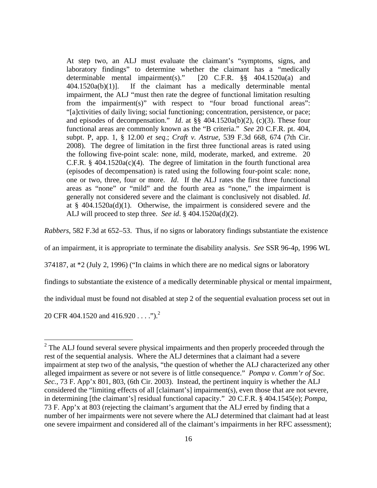At step two, an ALJ must evaluate the claimant's "symptoms, signs, and laboratory findings" to determine whether the claimant has a "medically determinable mental impairment(s)." [20 C.F.R. §§ 404.1520a(a) and 404.1520a(b)(1)]. If the claimant has a medically determinable mental impairment, the ALJ "must then rate the degree of functional limitation resulting from the impairment(s)" with respect to "four broad functional areas": "[a]ctivities of daily living; social functioning; concentration, persistence, or pace; and episodes of decompensation." *Id*. at §§ 404.1520a(b)(2), (c)(3). These four functional areas are commonly known as the "B criteria." *See* 20 C.F.R. pt. 404, subpt. P, app. 1, § 12.00 *et seq*.; *Craft v. Astrue*, 539 F.3d 668, 674 (7th Cir. 2008). The degree of limitation in the first three functional areas is rated using the following five-point scale: none, mild, moderate, marked, and extreme. 20 C.F.R.  $§$  404.1520a(c)(4). The degree of limitation in the fourth functional area (episodes of decompensation) is rated using the following four-point scale: none, one or two, three, four or more. *Id*. If the ALJ rates the first three functional areas as "none" or "mild" and the fourth area as "none," the impairment is generally not considered severe and the claimant is conclusively not disabled. *Id*. at §  $404.1520a(d)(1)$ . Otherwise, the impairment is considered severe and the ALJ will proceed to step three. *See id*. § 404.1520a(d)(2).

*Rabbers*, 582 F.3d at 652–53. Thus, if no signs or laboratory findings substantiate the existence

of an impairment, it is appropriate to terminate the disability analysis. *See* SSR 96-4p, 1996 WL

374187, at \*2 (July 2, 1996) ("In claims in which there are no medical signs or laboratory

findings to substantiate the existence of a medically determinable physical or mental impairment,

the individual must be found not disabled at step 2 of the sequential evaluation process set out in

20 CFR 404.1520 and 416.920 . . . ." $)^2$ 

<sup>&</sup>lt;sup>2</sup> The ALJ found several severe physical impairments and then properly proceeded through the rest of the sequential analysis. Where the ALJ determines that a claimant had a severe impairment at step two of the analysis, "the question of whether the ALJ characterized any other alleged impairment as severe or not severe is of little consequence." *Pompa v. Comm'r of Soc. Sec.*, 73 F. App'x 801, 803, (6th Cir. 2003). Instead, the pertinent inquiry is whether the ALJ considered the "limiting effects of all [claimant's] impairment(s), even those that are not severe, in determining [the claimant's] residual functional capacity." 20 C.F.R. § 404.1545(e); *Pompa*, 73 F. App'x at 803 (rejecting the claimant's argument that the ALJ erred by finding that a number of her impairments were not severe where the ALJ determined that claimant had at least one severe impairment and considered all of the claimant's impairments in her RFC assessment);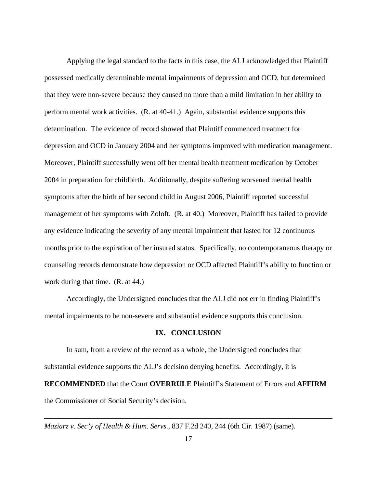Applying the legal standard to the facts in this case, the ALJ acknowledged that Plaintiff possessed medically determinable mental impairments of depression and OCD, but determined that they were non-severe because they caused no more than a mild limitation in her ability to perform mental work activities. (R. at 40-41.) Again, substantial evidence supports this determination. The evidence of record showed that Plaintiff commenced treatment for depression and OCD in January 2004 and her symptoms improved with medication management. Moreover, Plaintiff successfully went off her mental health treatment medication by October 2004 in preparation for childbirth. Additionally, despite suffering worsened mental health symptoms after the birth of her second child in August 2006, Plaintiff reported successful management of her symptoms with Zoloft. (R. at 40.) Moreover, Plaintiff has failed to provide any evidence indicating the severity of any mental impairment that lasted for 12 continuous months prior to the expiration of her insured status. Specifically, no contemporaneous therapy or counseling records demonstrate how depression or OCD affected Plaintiff's ability to function or work during that time. (R. at 44.)

Accordingly, the Undersigned concludes that the ALJ did not err in finding Plaintiff's mental impairments to be non-severe and substantial evidence supports this conclusion.

### **IX. CONCLUSION**

 In sum, from a review of the record as a whole, the Undersigned concludes that substantial evidence supports the ALJ's decision denying benefits. Accordingly, it is **RECOMMENDED** that the Court **OVERRULE** Plaintiff's Statement of Errors and **AFFIRM** the Commissioner of Social Security's decision.

*Maziarz v. Sec'y of Health & Hum. Servs.*, 837 F.2d 240, 244 (6th Cir. 1987) (same).

 $\overline{a}$